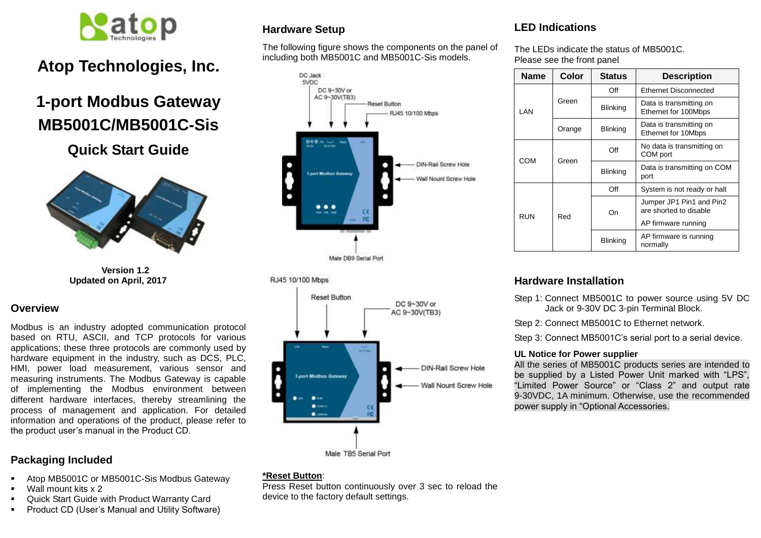

# **Atop Technologies, Inc.**

# **1-port Modbus Gateway MB5001C/MB5001C-Sis**

**Quick Start Guide**



**Version 1.2 Updated on April, 2017**

#### **Overview**

Modbus is an industry adopted communication protocol based on RTU, ASCII, and TCP protocols for various applications; these three protocols are commonly used by hardware equipment in the industry, such as DCS, PLC, HMI, power load measurement, various sensor and measuring instruments. The Modbus Gateway is capable of implementing the Modbus environment between different hardware interfaces, thereby streamlining the process of management and application. For detailed information and operations of the product, please refer to the product user's manual in the Product CD.

## **Packaging Included**

- Atop MB5001C or MB5001C-Sis Modbus Gateway
- Wall mount kits x 2
- Quick Start Guide with Product Warranty Card
- Product CD (User's Manual and Utility Software)

## **Hardware Setup**

The following figure shows the components on the panel of including both MB5001C and MB5001C-Sis models.



#### RJ45 10/100 Mbps



#### **\*Reset Button**:

Press Reset button continuously over 3 sec to reload the device to the factory default settings.

## **LED Indications**

The LEDs indicate the status of MB5001C. Please see the front panel

| <b>Name</b> | Color  | <b>Status</b>   | <b>Description</b>                                 |  |
|-------------|--------|-----------------|----------------------------------------------------|--|
| I AN        | Green  | Off             | <b>Ethernet Disconnected</b>                       |  |
|             |        | <b>Blinking</b> | Data is transmitting on<br>Ethernet for 100Mbps    |  |
|             | Orange | <b>Blinking</b> | Data is transmitting on<br>Ethernet for 10Mbps     |  |
| COM         | Green  | Off             | No data is transmitting on<br>COM port             |  |
|             |        | <b>Blinking</b> | Data is transmitting on COM<br>port                |  |
| RUN         | Red    | Off             | System is not ready or halt                        |  |
|             |        | On              | Jumper JP1 Pin1 and Pin2<br>are shorted to disable |  |
|             |        |                 | AP firmware running                                |  |
|             |        | <b>Blinking</b> | AP firmware is running<br>normally                 |  |

## **Hardware Installation**

Step 1: Connect MB5001C to power source using 5V DC Jack or 9-30V DC 3-pin Terminal Block.

Step 2: Connect MB5001C to Ethernet network.

Step 3: Connect MB5001C's serial port to a serial device.

#### **UL Notice for Power supplier**

All the series of MB5001C products series are intended to be supplied by a Listed Power Unit marked with "LPS", "Limited Power Source" or "Class 2" and output rate 9-30VDC, 1A minimum. Otherwise, use the recommended power supply in "Optional Accessories.